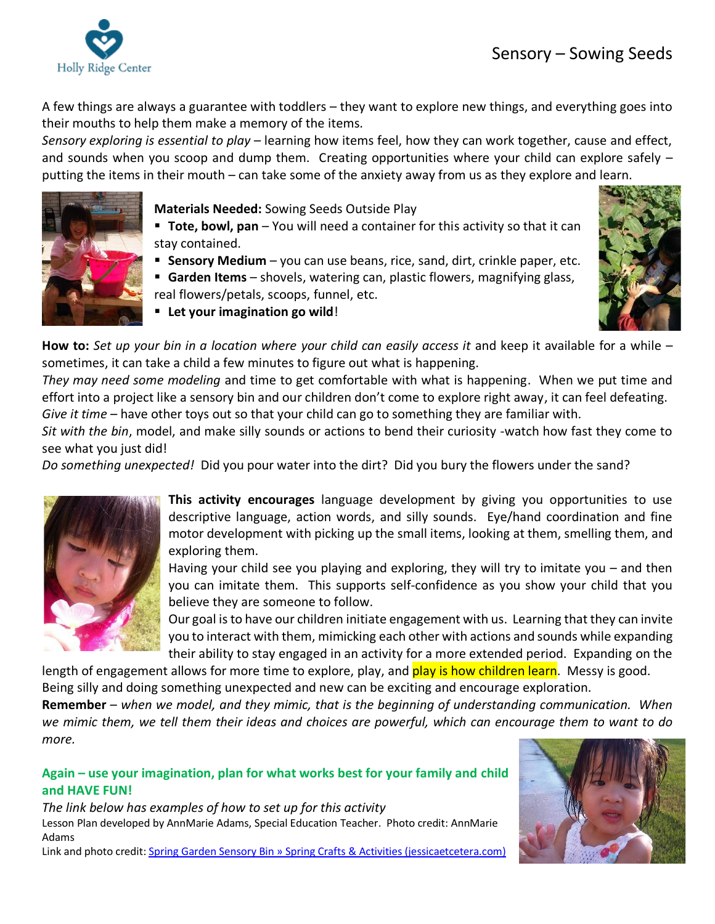

A few things are always a guarantee with toddlers – they want to explore new things, and everything goes into their mouths to help them make a memory of the items.

*Sensory exploring is essential to play* – learning how items feel, how they can work together, cause and effect, and sounds when you scoop and dump them. Creating opportunities where your child can explore safely – putting the items in their mouth – can take some of the anxiety away from us as they explore and learn.



**Materials Needed:** Sowing Seeds Outside Play

- **Tote, bowl, pan** You will need a container for this activity so that it can stay contained.
- **EXER** Sensory Medium you can use beans, rice, sand, dirt, crinkle paper, etc.
- **Garden Items** shovels, watering can, plastic flowers, magnifying glass, real flowers/petals, scoops, funnel, etc.
- **Let your imagination go wild**!



**How to:** *Set up your bin in a location where your child can easily access it* and keep it available for a while – sometimes, it can take a child a few minutes to figure out what is happening.

*They may need some modeling* and time to get comfortable with what is happening. When we put time and effort into a project like a sensory bin and our children don't come to explore right away, it can feel defeating. *Give it time* – have other toys out so that your child can go to something they are familiar with.

*Sit with the bin*, model, and make silly sounds or actions to bend their curiosity -watch how fast they come to see what you just did!

*Do something unexpected!* Did you pour water into the dirt? Did you bury the flowers under the sand?



**This activity encourages** language development by giving you opportunities to use descriptive language, action words, and silly sounds. Eye/hand coordination and fine motor development with picking up the small items, looking at them, smelling them, and exploring them.

Having your child see you playing and exploring, they will try to imitate you – and then you can imitate them. This supports self-confidence as you show your child that you believe they are someone to follow.

Our goal isto have our children initiate engagement with us. Learning that they can invite you to interact with them, mimicking each other with actions and sounds while expanding their ability to stay engaged in an activity for a more extended period. Expanding on the

length of engagement allows for more time to explore, play, and **play is how children learn**. Messy is good. Being silly and doing something unexpected and new can be exciting and encourage exploration.

**Remember** – *when we model, and they mimic, that is the beginning of understanding communication. When* we mimic them, we tell them their ideas and choices are powerful, which can encourage them to want to do *more.*

## **Again – use your imagination, plan for what works best for your family and child and HAVE FUN!**

*The link below has examples of how to set up for this activity* Lesson Plan developed by AnnMarie Adams, Special Education Teacher. Photo credit: AnnMarie Adams

Link and photo credit: [Spring Garden Sensory Bin » Spring Crafts & Activities \(jessicaetcetera.com\)](https://jessicaetcetera.com/spring-garden-sensory-bin/)